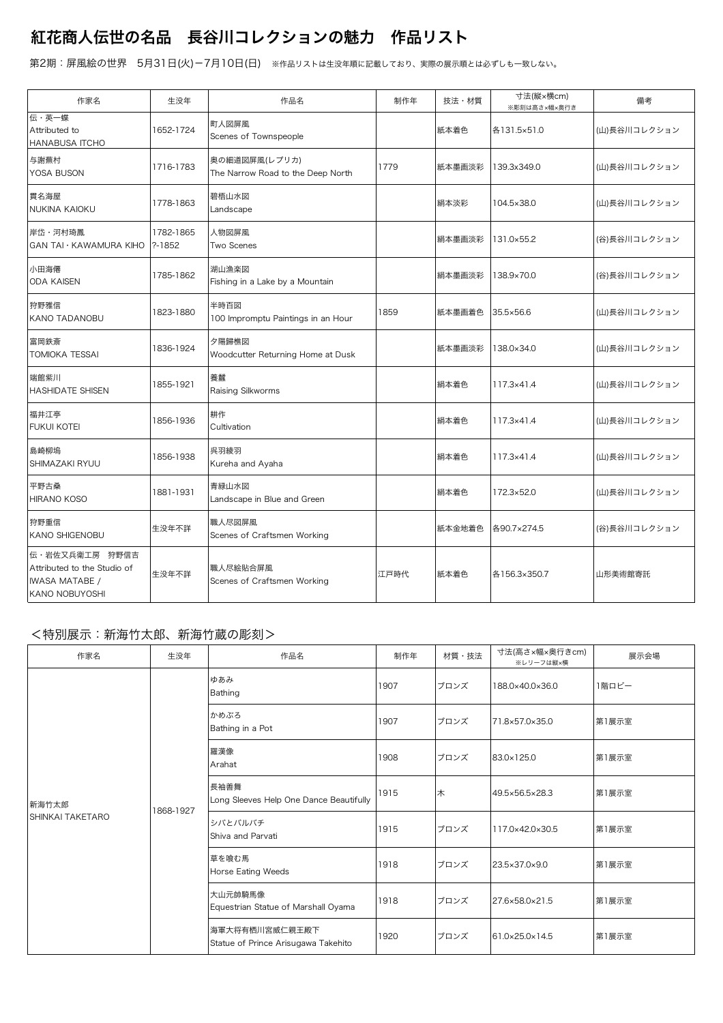## 紅花商人伝世の名品 長谷川コレクションの魅力 作品リスト

第2期:屏風絵の世界 5月31日(火)-7月10日(日) ※作品リストは生没年順に記載しており、実際の展示順とは必ずしも一致しない。

| 作家名                                                                                      | 生没年                     | 作品名                                                | 制作年  | 技法・材質  | 寸法(縦×横cm)<br>※彫刻は高さ×幅×奥行き | 備考           |
|------------------------------------------------------------------------------------------|-------------------------|----------------------------------------------------|------|--------|---------------------------|--------------|
| 伝・英一蝶<br>Attributed to<br><b>HANABUSA ITCHO</b>                                          | 1652-1724               | 町人図屏風<br>Scenes of Townspeople                     |      | 紙本着色   | 各131.5×51.0               | (山)長谷川コレクション |
| 与謝蕪村<br>YOSA BUSON                                                                       | 1716-1783               | 奥の細道図屏風(レプリカ)<br>The Narrow Road to the Deep North | 1779 | 紙本墨画淡彩 | 139.3x349.0               | (山)長谷川コレクション |
| 貫名海屋<br>NUKINA KAIOKU                                                                    | 1778-1863               | 碧梧山水図<br>Landscape                                 |      | 絹本淡彩   | 104.5×38.0                | (山)長谷川コレクション |
| 岸岱・河村琦鳳<br><b>GAN TAI · KAWAMURA KIHO</b>                                                | 1782-1865<br>$? - 1852$ | 人物図屏風<br>Two Scenes                                |      | 絹本墨画淡彩 | 131.0×55.2                | (谷)長谷川コレクション |
| 小田海僊<br><b>ODA KAISEN</b>                                                                | 1785-1862               | 湖山漁楽図<br>Fishing in a Lake by a Mountain           |      | 絹本墨画淡彩 | 138.9×70.0                | (谷)長谷川コレクション |
| 狩野雅信<br><b>KANO TADANOBU</b>                                                             | 1823-1880               | 半時百図<br>100 Impromptu Paintings in an Hour         | 1859 | 紙本墨画着色 | 35.5×56.6                 | (山)長谷川コレクション |
| 富岡鉄斎<br>TOMIOKA TESSAI                                                                   | 1836-1924               | 夕陽歸樵図<br>Woodcutter Returning Home at Dusk         |      | 紙本墨画淡彩 | 138.0×34.0                | (山)長谷川コレクション |
| 端館紫川<br><b>HASHIDATE SHISEN</b>                                                          | 1855-1921               | 養蠶<br>Raising Silkworms                            |      | 絹本着色   | 117.3×41.4                | (山)長谷川コレクション |
| 福井江亭<br><b>FUKUI KOTEI</b>                                                               | 1856-1936               | 耕作<br>Cultivation                                  |      | 絹本着色   | 117.3×41.4                | (山)長谷川コレクション |
| 島崎柳塢<br>SHIMAZAKI RYUU                                                                   | 1856-1938               | 呉羽綾羽<br>Kureha and Ayaha                           |      | 絹本着色   | 117.3×41.4                | (山)長谷川コレクション |
| 平野古桑<br><b>HIRANO KOSO</b>                                                               | 1881-1931               | 青緑山水図<br>Landscape in Blue and Green               |      | 絹本着色   | 172.3×52.0                | (山)長谷川コレクション |
| 狩野重信<br>KANO SHIGENOBU                                                                   | 生没年不詳                   | 職人尽図屏風<br>Scenes of Craftsmen Working              |      | 紙本金地着色 | 各90.7×274.5               | (谷)長谷川コレクション |
| 伝·岩佐又兵衛工房 狩野信吉<br>Attributed to the Studio of<br><b>IWASA MATABE /</b><br>KANO NOBUYOSHI | 生没年不詳                   | 職人尽絵貼合屏風<br>Scenes of Craftsmen Working            | 江戸時代 | 紙本着色   | 各156.3×350.7              | 山形美術館寄託      |

## <特別展示:新海竹太郎、新海竹蔵の彫刻>

| 作家名                       | 生没年       | 作品名                                                   | 制作年  | 材質・技法 | 寸法(高さ×幅×奥行きcm)<br>※レリーフは縦×横 | 展示会場  |
|---------------------------|-----------|-------------------------------------------------------|------|-------|-----------------------------|-------|
| 新海竹太郎<br>SHINKAI TAKETARO | 1868-1927 | ゆあみ<br>Bathing                                        | 1907 | ブロンズ  | 188.0×40.0×36.0             | 1階ロビー |
|                           |           | かめぶろ<br>Bathing in a Pot                              | 1907 | ブロンズ  | 71.8×57.0×35.0              | 第1展示室 |
|                           |           | 羅漢像<br>Arahat                                         | 1908 | ブロンズ  | 83.0×125.0                  | 第1展示室 |
|                           |           | 長袖善舞<br>Long Sleeves Help One Dance Beautifully       | 1915 | 木     | 49.5×56.5×28.3              | 第1展示室 |
|                           |           | シバとバルバチ<br>Shiva and Parvati                          | 1915 | ブロンズ  | 117.0×42.0×30.5             | 第1展示室 |
|                           |           | 草を喰む馬<br>Horse Eating Weeds                           | 1918 | ブロンズ  | 23.5×37.0×9.0               | 第1展示室 |
|                           |           | 大山元帥騎馬像<br>Equestrian Statue of Marshall Oyama        | 1918 | ブロンズ  | 27.6×58.0×21.5              | 第1展示室 |
|                           |           | 海軍大将有栖川宮威仁親王殿下<br>Statue of Prince Arisugawa Takehito | 1920 | ブロンズ  | 61.0×25.0×14.5              | 第1展示室 |